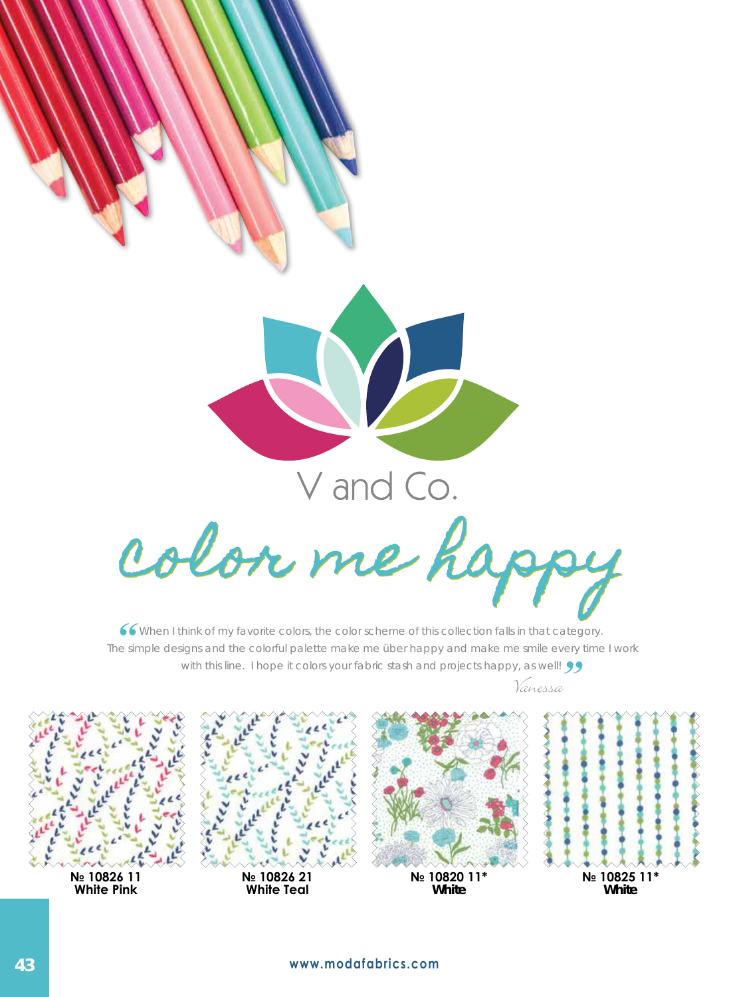

When I think of my favorite colors, the color scheme of this collection falls in that category. The simple designs and the colorful palette make me über happy and make me smile every time I work **6**<br> **C**<br> **C**<br> **C**<br> **C**<br> **C**<br> **C**<br> **C** with this line. I hope it colors your fabric stash and projects happy, as well! **99** 

Vanessa

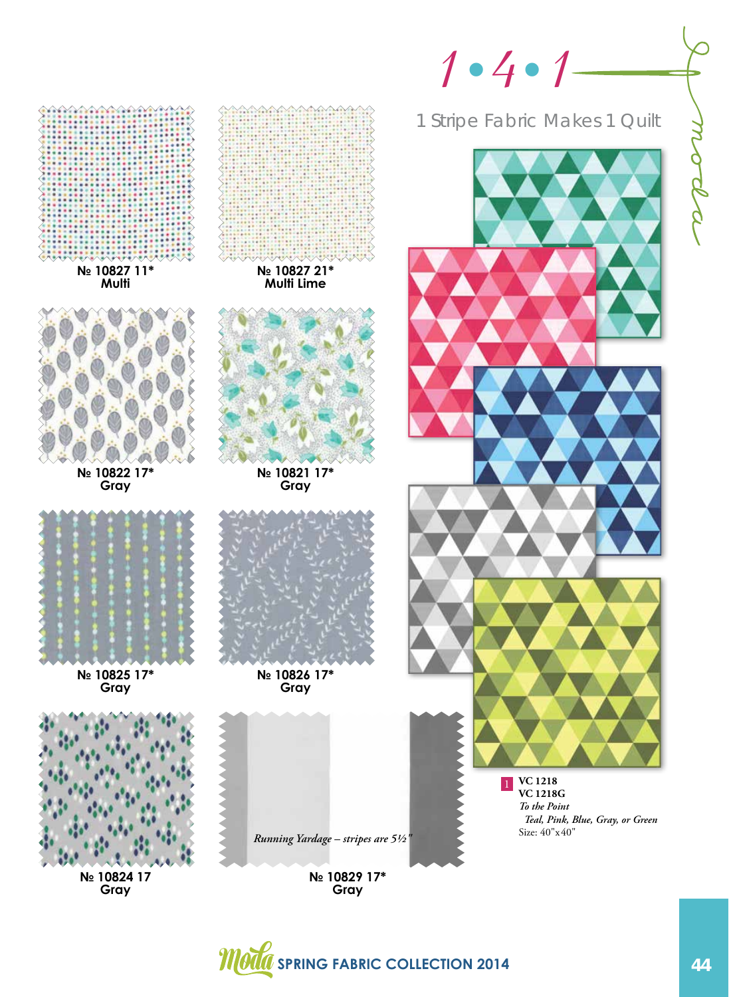

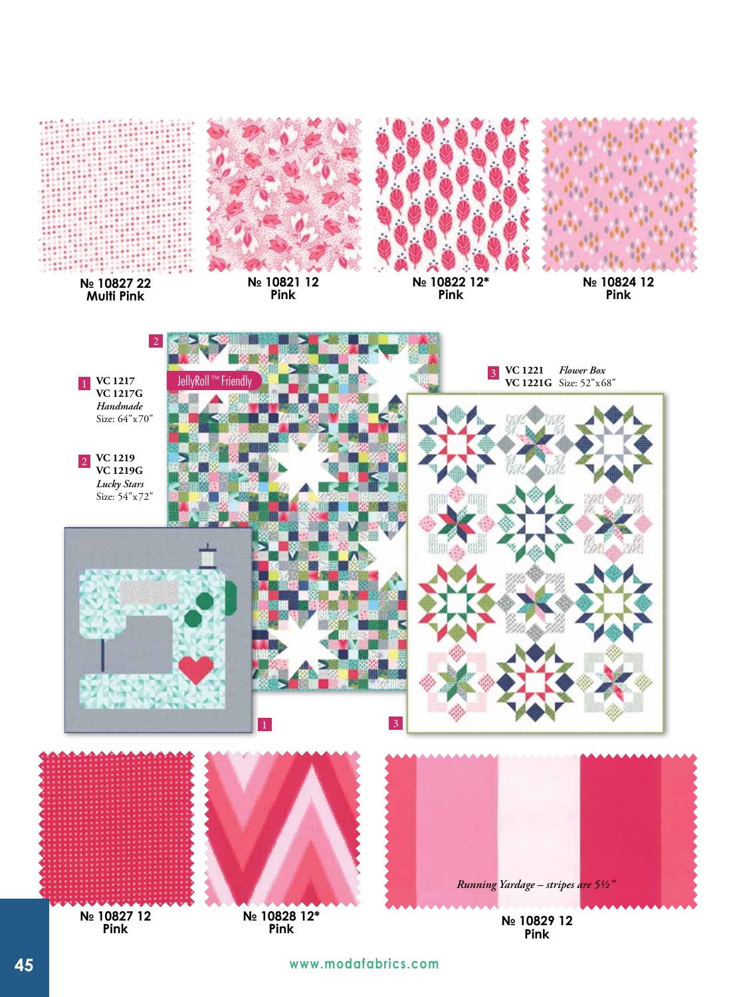

**Pink**

**№ 10828 12\* Pink**

**45 www.modafabrics.com**

**Pink**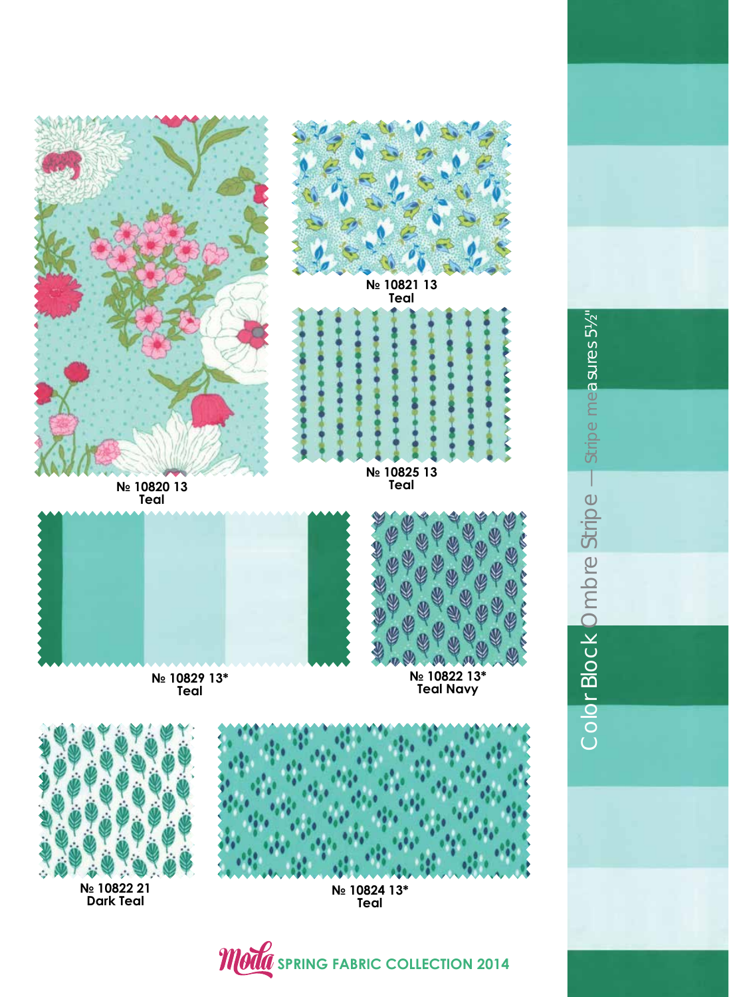

**№ 10822 21 Dark Teal**

**№ 10824 13\* Teal**

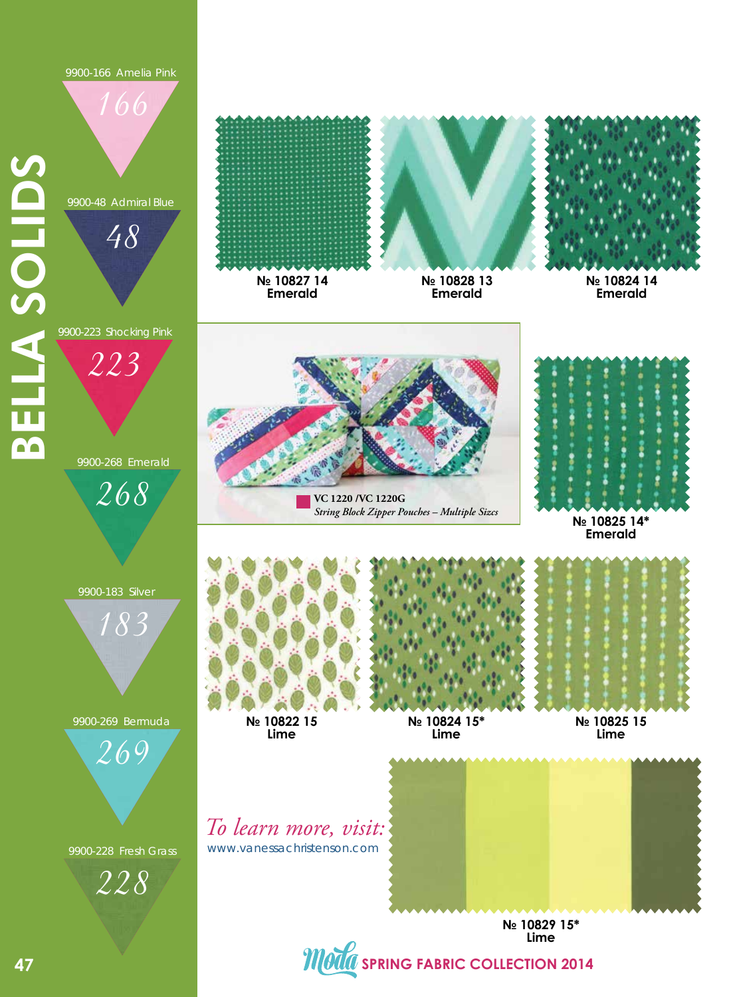9900-166 Amelia Pink

166

9900-48 Admiral Blue

48

**SELLA SOLIDS** BELLA SOLIDS 9900-223 Shocking Pink

223

9900-268 Emerald

268

**№ 10827 14 № 10828 13**

**Emerald**



**№ 10824 14 Emerald**



**VC 1220 /VC 1220G** *String Block Zipper Pouches – Multiple Sizcs*



**Emerald**





9900-269 Bermuda

269

9900-228 Fresh Grass





**Emerald**



**№ 10824 15\* Lime**



**№ 10825 15 Lime**

www.vanessachristenson.com *To learn more, visit:*



**№ 10829 15\* Lime**